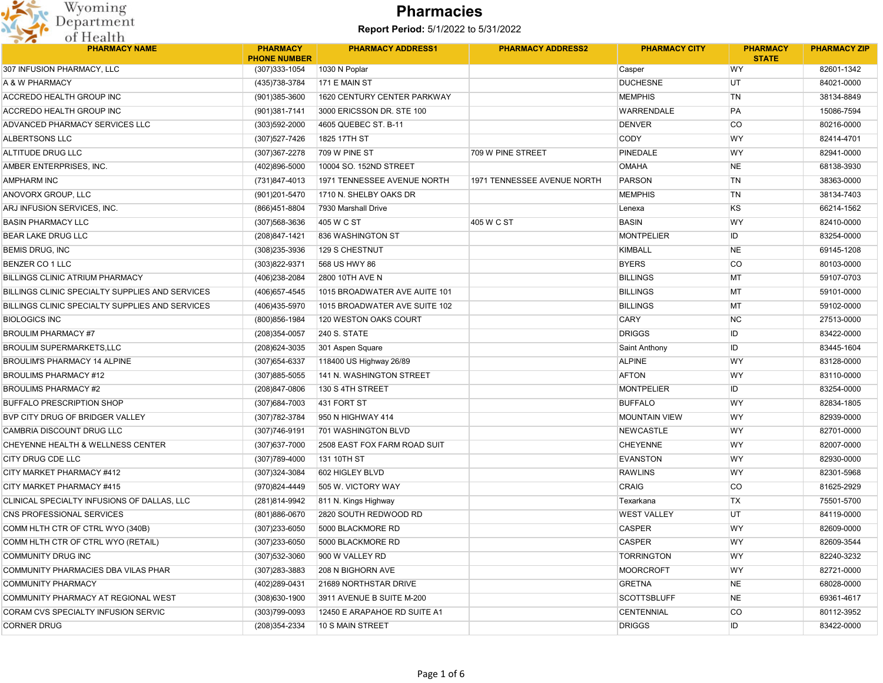

| $-$<br><b>PHARMACY NAME</b>                     | <b>PHARMACY</b>     | <b>PHARMACY ADDRESS1</b>      | <b>PHARMACY ADDRESS2</b>    | <b>PHARMACY CITY</b>      | <b>PHARMACY</b>           | <b>PHARMACY ZIP</b> |
|-------------------------------------------------|---------------------|-------------------------------|-----------------------------|---------------------------|---------------------------|---------------------|
| 307 INFUSION PHARMACY, LLC                      | <b>PHONE NUMBER</b> |                               |                             |                           | <b>STATE</b><br><b>WY</b> | 82601-1342          |
|                                                 | (307) 333-1054      | 1030 N Poplar                 |                             | Casper<br><b>DUCHESNE</b> |                           | 84021-0000          |
| A & W PHARMACY                                  | (435) 738-3784      | 171 E MAIN ST                 |                             |                           | UT                        |                     |
| ACCREDO HEALTH GROUP INC                        | (901)385-3600       | 1620 CENTURY CENTER PARKWAY   |                             | <b>MEMPHIS</b>            | TN                        | 38134-8849          |
| <b>ACCREDO HEALTH GROUP INC</b>                 | (901)381-7141       | 3000 ERICSSON DR. STE 100     |                             | <b>WARRENDALE</b>         | PA                        | 15086-7594          |
| ADVANCED PHARMACY SERVICES LLC                  | (303)592-2000       | 4605 QUEBEC ST. B-11          |                             | <b>DENVER</b>             | <b>CO</b>                 | 80216-0000          |
| <b>ALBERTSONS LLC</b>                           | (307) 527-7426      | 1825 17TH ST                  |                             | <b>CODY</b>               | WY                        | 82414-4701          |
| ALTITUDE DRUG LLC                               | (307) 367-2278      | 709 W PINE ST                 | 709 W PINE STREET           | <b>PINEDALE</b>           | WY                        | 82941-0000          |
| AMBER ENTERPRISES, INC.                         | (402)896-5000       | 10004 SO. 152ND STREET        |                             | <b>OMAHA</b>              | <b>NE</b>                 | 68138-3930          |
| <b>AMPHARM INC</b>                              | (731)847-4013       | 1971 TENNESSEE AVENUE NORTH   | 1971 TENNESSEE AVENUE NORTH | <b>PARSON</b>             | TN                        | 38363-0000          |
| ANOVORX GROUP, LLC                              | (901)201-5470       | 1710 N. SHELBY OAKS DR        |                             | <b>MEMPHIS</b>            | TN                        | 38134-7403          |
| ARJ INFUSION SERVICES, INC.                     | (866)451-8804       | 7930 Marshall Drive           |                             | Lenexa                    | KS                        | 66214-1562          |
| <b>BASIN PHARMACY LLC</b>                       | (307) 568-3636      | 405 W C ST                    | 405 W C ST                  | <b>BASIN</b>              | WY                        | 82410-0000          |
| <b>BEAR LAKE DRUG LLC</b>                       | (208) 847-1421      | 836 WASHINGTON ST             |                             | <b>MONTPELIER</b>         | ID                        | 83254-0000          |
| <b>BEMIS DRUG, INC</b>                          | (308)235-3936       | 129 S CHESTNUT                |                             | <b>KIMBALL</b>            | <b>NE</b>                 | 69145-1208          |
| <b>BENZER CO 1 LLC</b>                          | (303)822-9371       | 568 US HWY 86                 |                             | <b>BYERS</b>              | <b>CO</b>                 | 80103-0000          |
| <b>BILLINGS CLINIC ATRIUM PHARMACY</b>          | (406)238-2084       | 2800 10TH AVE N               |                             | <b>BILLINGS</b>           | MT                        | 59107-0703          |
| BILLINGS CLINIC SPECIALTY SUPPLIES AND SERVICES | (406) 657-4545      | 1015 BROADWATER AVE AUITE 101 |                             | <b>BILLINGS</b>           | MT                        | 59101-0000          |
| BILLINGS CLINIC SPECIALTY SUPPLIES AND SERVICES | (406)435-5970       | 1015 BROADWATER AVE SUITE 102 |                             | <b>BILLINGS</b>           | MT                        | 59102-0000          |
| <b>BIOLOGICS INC</b>                            | (800) 856-1984      | 120 WESTON OAKS COURT         |                             | CARY                      | <b>NC</b>                 | 27513-0000          |
| <b>BROULIM PHARMACY #7</b>                      | (208)354-0057       | <b>240 S. STATE</b>           |                             | <b>DRIGGS</b>             | ID                        | 83422-0000          |
| <b>BROULIM SUPERMARKETS.LLC</b>                 | (208) 624-3035      | 301 Aspen Square              |                             | Saint Anthony             | ID                        | 83445-1604          |
| <b>BROULIM'S PHARMACY 14 ALPINE</b>             | (307) 654-6337      | 118400 US Highway 26/89       |                             | <b>ALPINE</b>             | WY                        | 83128-0000          |
| BROULIMS PHARMACY #12                           | (307) 885-5055      | 141 N. WASHINGTON STREET      |                             | <b>AFTON</b>              | WY                        | 83110-0000          |
| <b>BROULIMS PHARMACY #2</b>                     | (208) 847-0806      | 130 S 4TH STREET              |                             | <b>MONTPELIER</b>         | ID                        | 83254-0000          |
| <b>BUFFALO PRESCRIPTION SHOP</b>                | (307) 684-7003      | 431 FORT ST                   |                             | <b>BUFFALO</b>            | WY                        | 82834-1805          |
| BVP CITY DRUG OF BRIDGER VALLEY                 | (307) 782-3784      | 950 N HIGHWAY 414             |                             | <b>MOUNTAIN VIEW</b>      | WY                        | 82939-0000          |
| CAMBRIA DISCOUNT DRUG LLC                       | (307) 746-9191      | 701 WASHINGTON BLVD           |                             | <b>NEWCASTLE</b>          | WY                        | 82701-0000          |
| CHEYENNE HEALTH & WELLNESS CENTER               | (307) 637-7000      | 2508 EAST FOX FARM ROAD SUIT  |                             | <b>CHEYENNE</b>           | WY                        | 82007-0000          |
| CITY DRUG CDE LLC                               | (307) 789-4000      | 131 10TH ST                   |                             | <b>EVANSTON</b>           | WY                        | 82930-0000          |
| CITY MARKET PHARMACY #412                       | (307) 324-3084      | 602 HIGLEY BLVD               |                             | <b>RAWLINS</b>            | WY                        | 82301-5968          |
| CITY MARKET PHARMACY #415                       | (970)824-4449       | 505 W. VICTORY WAY            |                             | <b>CRAIG</b>              | <b>CO</b>                 | 81625-2929          |
| CLINICAL SPECIALTY INFUSIONS OF DALLAS, LLC     | (281)814-9942       | 811 N. Kings Highway          |                             | Texarkana                 | <b>TX</b>                 | 75501-5700          |
| CNS PROFESSIONAL SERVICES                       | (801) 886-0670      | 2820 SOUTH REDWOOD RD         |                             | <b>WEST VALLEY</b>        | <b>UT</b>                 | 84119-0000          |
| COMM HLTH CTR OF CTRL WYO (340B)                | (307) 233-6050      | 5000 BLACKMORE RD             |                             | <b>CASPER</b>             | WY                        | 82609-0000          |
| COMM HLTH CTR OF CTRL WYO (RETAIL)              | (307)233-6050       | 5000 BLACKMORE RD             |                             | CASPER                    | WY                        | 82609-3544          |
| COMMUNITY DRUG INC                              | (307) 532-3060      | 900 W VALLEY RD               |                             | <b>TORRINGTON</b>         | WY                        | 82240-3232          |
| COMMUNITY PHARMACIES DBA VILAS PHAR             |                     |                               |                             |                           | WY                        |                     |
|                                                 | (307) 283-3883      | 208 N BIGHORN AVE             |                             | <b>MOORCROFT</b>          |                           | 82721-0000          |
| <b>COMMUNITY PHARMACY</b>                       | (402)289-0431       | 21689 NORTHSTAR DRIVE         |                             | <b>GRETNA</b>             | NE                        | 68028-0000          |
| COMMUNITY PHARMACY AT REGIONAL WEST             | (308)630-1900       | 3911 AVENUE B SUITE M-200     |                             | <b>SCOTTSBLUFF</b>        | <b>NE</b>                 | 69361-4617          |
| CORAM CVS SPECIALTY INFUSION SERVIC             | (303)799-0093       | 12450 E ARAPAHOE RD SUITE A1  |                             | <b>CENTENNIAL</b>         | CO                        | 80112-3952          |
| <b>CORNER DRUG</b>                              | (208) 354-2334      | 10 S MAIN STREET              |                             | <b>DRIGGS</b>             | ID                        | 83422-0000          |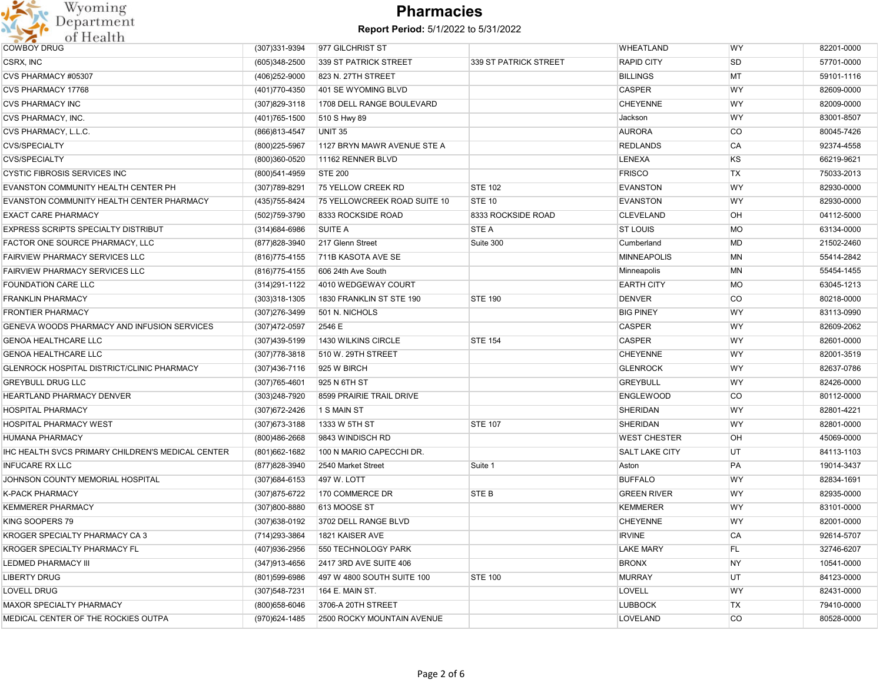

| <b>COWBOY DRUG</b>                                | (307) 331-9394    | 977 GILCHRIST ST             |                       | <b>WHEATLAND</b>      | <b>WY</b> | 82201-0000 |
|---------------------------------------------------|-------------------|------------------------------|-----------------------|-----------------------|-----------|------------|
|                                                   |                   |                              |                       |                       |           |            |
| CSRX, INC                                         | (605)348-2500     | 339 ST PATRICK STREET        | 339 ST PATRICK STREET | <b>RAPID CITY</b>     | <b>SD</b> | 57701-0000 |
| CVS PHARMACY #05307                               | (406)252-9000     | 823 N. 27TH STREET           |                       | <b>BILLINGS</b>       | MT        | 59101-1116 |
| <b>CVS PHARMACY 17768</b>                         | (401) 770-4350    | 401 SE WYOMING BLVD          |                       | <b>CASPER</b>         | <b>WY</b> | 82609-0000 |
| <b>CVS PHARMACY INC</b>                           | (307) 829-3118    | 1708 DELL RANGE BOULEVARD    |                       | <b>CHEYENNE</b>       | <b>WY</b> | 82009-0000 |
| CVS PHARMACY, INC.                                | (401) 765-1500    | 510 S Hwy 89                 |                       | Jackson               | <b>WY</b> | 83001-8507 |
| CVS PHARMACY, L.L.C.                              | (866)813-4547     | UNIT 35                      |                       | <b>AURORA</b>         | <b>CO</b> | 80045-7426 |
| <b>CVS/SPECIALTY</b>                              | (800) 225-5967    | 1127 BRYN MAWR AVENUE STE A  |                       | <b>REDLANDS</b>       | <b>CA</b> | 92374-4558 |
| <b>CVS/SPECIALTY</b>                              | (800)360-0520     | 11162 RENNER BLVD            |                       | <b>LENEXA</b>         | KS        | 66219-9621 |
| <b>CYSTIC FIBROSIS SERVICES INC</b>               | (800)541-4959     | <b>STE 200</b>               |                       | <b>FRISCO</b>         | <b>TX</b> | 75033-2013 |
| EVANSTON COMMUNITY HEALTH CENTER PH               | (307) 789-8291    | <b>75 YELLOW CREEK RD</b>    | <b>STE 102</b>        | <b>EVANSTON</b>       | <b>WY</b> | 82930-0000 |
| EVANSTON COMMUNITY HEALTH CENTER PHARMACY         | (435) 755-8424    | 75 YELLOWCREEK ROAD SUITE 10 | STE 10                | <b>EVANSTON</b>       | <b>WY</b> | 82930-0000 |
| <b>EXACT CARE PHARMACY</b>                        | (502)759-3790     | 8333 ROCKSIDE ROAD           | 8333 ROCKSIDE ROAD    | <b>CLEVELAND</b>      | <b>OH</b> | 04112-5000 |
| EXPRESS SCRIPTS SPECIALTY DISTRIBUT               | (314) 684-6986    | <b>SUITE A</b>               | <b>STE A</b>          | <b>ST LOUIS</b>       | <b>MO</b> | 63134-0000 |
| FACTOR ONE SOURCE PHARMACY, LLC                   | (877) 828-3940    | 217 Glenn Street             | Suite 300             | Cumberland            | MD        | 21502-2460 |
| FAIRVIEW PHARMACY SERVICES LLC                    | (816) 775-4155    | 711B KASOTA AVE SE           |                       | <b>MINNEAPOLIS</b>    | <b>MN</b> | 55414-2842 |
| FAIRVIEW PHARMACY SERVICES LLC                    | (816) 775-4155    | 606 24th Ave South           |                       | Minneapolis           | <b>MN</b> | 55454-1455 |
| <b>FOUNDATION CARE LLC</b>                        | (314) 291-1122    | 4010 WEDGEWAY COURT          |                       | <b>EARTH CITY</b>     | <b>MO</b> | 63045-1213 |
| <b>FRANKLIN PHARMACY</b>                          | $(303)318-1305$   | 1830 FRANKLIN ST STE 190     | <b>STE 190</b>        | <b>DENVER</b>         | <b>CO</b> | 80218-0000 |
| <b>FRONTIER PHARMACY</b>                          | (307)276-3499     | 501 N. NICHOLS               |                       | <b>BIG PINEY</b>      | <b>WY</b> | 83113-0990 |
| GENEVA WOODS PHARMACY AND INFUSION SERVICES       | (307)472-0597     | 2546 E                       |                       | <b>CASPER</b>         | <b>WY</b> | 82609-2062 |
| <b>GENOA HEALTHCARE LLC</b>                       | (307)439-5199     | 1430 WILKINS CIRCLE          | <b>STE 154</b>        | <b>CASPER</b>         | <b>WY</b> | 82601-0000 |
| <b>GENOA HEALTHCARE LLC</b>                       | (307) 778-3818    | 510 W. 29TH STREET           |                       | <b>CHEYENNE</b>       | <b>WY</b> | 82001-3519 |
| GLENROCK HOSPITAL DISTRICT/CLINIC PHARMACY        | (307)436-7116     | 925 W BIRCH                  |                       | <b>GLENROCK</b>       | <b>WY</b> | 82637-0786 |
| <b>GREYBULL DRUG LLC</b>                          | $(307)765 - 4601$ | 925 N 6TH ST                 |                       | <b>GREYBULL</b>       | <b>WY</b> | 82426-0000 |
| HEARTLAND PHARMACY DENVER                         | (303)248-7920     | 8599 PRAIRIE TRAIL DRIVE     |                       | <b>ENGLEWOOD</b>      | <b>CO</b> | 80112-0000 |
| <b>HOSPITAL PHARMACY</b>                          | $(307)$ 672-2426  | 1 S MAIN ST                  |                       | SHERIDAN              | <b>WY</b> | 82801-4221 |
| <b>HOSPITAL PHARMACY WEST</b>                     | (307) 673-3188    | 1333 W 5TH ST                | <b>STE 107</b>        | <b>SHERIDAN</b>       | <b>WY</b> | 82801-0000 |
| <b>HUMANA PHARMACY</b>                            | (800)486-2668     | 9843 WINDISCH RD             |                       | <b>WEST CHESTER</b>   | <b>OH</b> | 45069-0000 |
| IHC HEALTH SVCS PRIMARY CHILDREN'S MEDICAL CENTER | (801)662-1682     | 100 N MARIO CAPECCHI DR.     |                       | <b>SALT LAKE CITY</b> | UT        | 84113-1103 |
| <b>INFUCARE RX LLC</b>                            | (877) 828-3940    | 2540 Market Street           | Suite 1               | Aston                 | PA        | 19014-3437 |
| JOHNSON COUNTY MEMORIAL HOSPITAL                  | (307) 684-6153    | 497 W. LOTT                  |                       | <b>BUFFALO</b>        | <b>WY</b> | 82834-1691 |
| <b>K-PACK PHARMACY</b>                            | (307) 875-6722    | 170 COMMERCE DR              | <b>STEB</b>           | <b>GREEN RIVER</b>    | <b>WY</b> | 82935-0000 |
| <b>KEMMERER PHARMACY</b>                          | (307)800-8880     | 613 MOOSE ST                 |                       | <b>KEMMERER</b>       | <b>WY</b> | 83101-0000 |
|                                                   |                   |                              |                       |                       |           |            |
| KING SOOPERS 79                                   | (307) 638-0192    | 3702 DELL RANGE BLVD         |                       | <b>CHEYENNE</b>       | <b>WY</b> | 82001-0000 |
| KROGER SPECIALTY PHARMACY CA 3                    | (714) 293-3864    | 1821 KAISER AVE              |                       | <b>IRVINE</b>         | <b>CA</b> | 92614-5707 |
| KROGER SPECIALTY PHARMACY FL                      | (407) 936-2956    | 550 TECHNOLOGY PARK          |                       | <b>LAKE MARY</b>      | FL        | 32746-6207 |
| <b>LEDMED PHARMACY III</b>                        | (347) 913-4656    | 2417 3RD AVE SUITE 406       |                       | <b>BRONX</b>          | <b>NY</b> | 10541-0000 |
| <b>LIBERTY DRUG</b>                               | (801)599-6986     | 497 W 4800 SOUTH SUITE 100   | <b>STE 100</b>        | <b>MURRAY</b>         | UT        | 84123-0000 |
| LOVELL DRUG                                       | (307) 548-7231    | 164 E. MAIN ST.              |                       | <b>LOVELL</b>         | <b>WY</b> | 82431-0000 |
| MAXOR SPECIALTY PHARMACY                          | (800) 658-6046    | 3706-A 20TH STREET           |                       | <b>LUBBOCK</b>        | <b>TX</b> | 79410-0000 |
| MEDICAL CENTER OF THE ROCKIES OUTPA               | (970)624-1485     | 2500 ROCKY MOUNTAIN AVENUE   |                       | LOVELAND              | <b>CO</b> | 80528-0000 |
|                                                   |                   |                              |                       |                       |           |            |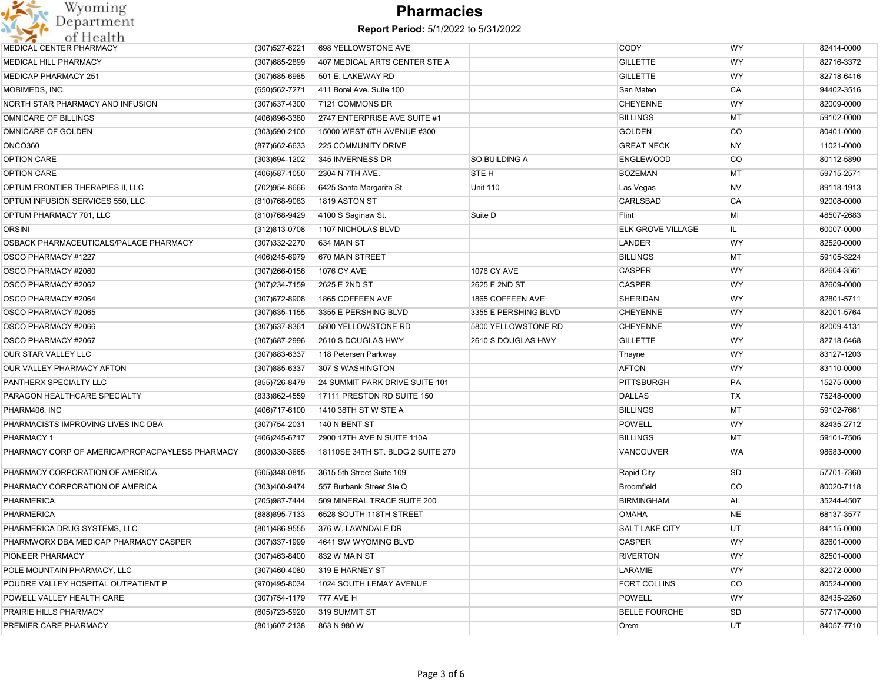

| (307) 527-6221 | 698 YELLOWSTONE AVE               |                      | <b>CODY</b>              | <b>WY</b> | 82414-0000 |
|----------------|-----------------------------------|----------------------|--------------------------|-----------|------------|
| (307) 685-2899 | 407 MEDICAL ARTS CENTER STE A     |                      | <b>GILLETTE</b>          | <b>WY</b> | 82716-3372 |
| (307) 685-6985 | 501 E. LAKEWAY RD                 |                      | <b>GILLETTE</b>          | WY        | 82718-6416 |
| (650) 562-7271 | 411 Borel Ave. Suite 100          |                      | San Mateo                | CA        | 94402-3516 |
| (307) 637-4300 | 7121 COMMONS DR                   |                      | <b>CHEYENNE</b>          | WY        | 82009-0000 |
| (406)896-3380  | 2747 ENTERPRISE AVE SUITE #1      |                      | <b>BILLINGS</b>          | MT        | 59102-0000 |
| (303)590-2100  | 15000 WEST 6TH AVENUE #300        |                      | <b>GOLDEN</b>            | CO        | 80401-0000 |
| (877) 662-6633 | 225 COMMUNITY DRIVE               |                      | <b>GREAT NECK</b>        | <b>NY</b> | 11021-0000 |
| (303)694-1202  | 345 INVERNESS DR                  | SO BUILDING A        | <b>ENGLEWOOD</b>         | CO        | 80112-5890 |
| (406) 587-1050 | 2304 N 7TH AVE.                   | STE H                | <b>BOZEMAN</b>           | MT        | 59715-2571 |
| (702)954-8666  | 6425 Santa Margarita St           | <b>Unit 110</b>      | Las Vegas                | <b>NV</b> | 89118-1913 |
| (810) 768-9083 | 1819 ASTON ST                     |                      | CARLSBAD                 | CA        | 92008-0000 |
| (810) 768-9429 | 4100 S Saginaw St.                | Suite D              | Flint                    | MI        | 48507-2683 |
| (312)813-0708  | 1107 NICHOLAS BLVD                |                      | <b>ELK GROVE VILLAGE</b> | IL.       | 60007-0000 |
| (307) 332-2270 | 634 MAIN ST                       |                      | LANDER                   | <b>WY</b> | 82520-0000 |
| (406)245-6979  | 670 MAIN STREET                   |                      | <b>BILLINGS</b>          | МT        | 59105-3224 |
| (307) 266-0156 | 1076 CY AVE                       | <b>1076 CY AVE</b>   | <b>CASPER</b>            | WY        | 82604-3561 |
| (307)234-7159  | 2625 E 2ND ST                     | 2625 E 2ND ST        | <b>CASPER</b>            | WY        | 82609-0000 |
| (307) 672-8908 | 1865 COFFEEN AVE                  | 1865 COFFEEN AVE     | <b>SHERIDAN</b>          | WY        | 82801-5711 |
| (307) 635-1155 | 3355 E PERSHING BLVD              | 3355 E PERSHING BLVD | <b>CHEYENNE</b>          | WY        | 82001-5764 |
| (307) 637-8361 | 5800 YELLOWSTONE RD               | 5800 YELLOWSTONE RD  | <b>CHEYENNE</b>          | WY        | 82009-4131 |
| (307) 687-2996 | 2610 S DOUGLAS HWY                | 2610 S DOUGLAS HWY   | <b>GILLETTE</b>          | WY        | 82718-6468 |
| (307) 883-6337 | 118 Petersen Parkway              |                      | Thayne                   | <b>WY</b> | 83127-1203 |
| (307) 885-6337 | 307 S WASHINGTON                  |                      | <b>AFTON</b>             | WY        | 83110-0000 |
| (855) 726-8479 | 24 SUMMIT PARK DRIVE SUITE 101    |                      | PITTSBURGH               | PA        | 15275-0000 |
| (833)862-4559  | 17111 PRESTON RD SUITE 150        |                      | <b>DALLAS</b>            | TX        | 75248-0000 |
| (406) 717-6100 | 1410 38TH ST W STE A              |                      | <b>BILLINGS</b>          | MT        | 59102-7661 |
| (307) 754-2031 | 140 N BENT ST                     |                      | <b>POWELL</b>            | WY        | 82435-2712 |
| (406) 245-6717 | 2900 12TH AVE N SUITE 110A        |                      | <b>BILLINGS</b>          | MT        | 59101-7506 |
| (800)330-3665  | 18110SE 34TH ST. BLDG 2 SUITE 270 |                      | VANCOUVER                | WA        | 98683-0000 |
| (605)348-0815  | 3615 5th Street Suite 109         |                      | Rapid City               | SD        | 57701-7360 |
| (303)460-9474  | 557 Burbank Street Ste Q          |                      | Broomfield               | CO        | 80020-7118 |
| (205) 987-7444 | 509 MINERAL TRACE SUITE 200       |                      | <b>BIRMINGHAM</b>        | <b>AL</b> | 35244-4507 |
| (888) 895-7133 | 6528 SOUTH 118TH STREET           |                      | <b>OMAHA</b>             | <b>NE</b> | 68137-3577 |
| (801)486-9555  | 376 W. LAWNDALE DR                |                      | <b>SALT LAKE CITY</b>    | UT        | 84115-0000 |
| (307) 337-1999 | 4641 SW WYOMING BLVD              |                      | <b>CASPER</b>            | WY        | 82601-0000 |
| (307)463-8400  | 832 W MAIN ST                     |                      | <b>RIVERTON</b>          | <b>WY</b> | 82501-0000 |
| (307)460-4080  | 319 E HARNEY ST                   |                      | LARAMIE                  | WY        | 82072-0000 |
| (970)495-8034  | 1024 SOUTH LEMAY AVENUE           |                      | <b>FORT COLLINS</b>      | <b>CO</b> | 80524-0000 |
| (307) 754-1179 | <b>777 AVE H</b>                  |                      | <b>POWELL</b>            | WY        | 82435-2260 |
| (605) 723-5920 | 319 SUMMIT ST                     |                      | <b>BELLE FOURCHE</b>     | <b>SD</b> | 57717-0000 |
|                | 863 N 980 W                       |                      |                          | UT        | 84057-7710 |
|                | (801) 607-2138                    |                      |                          | Orem      |            |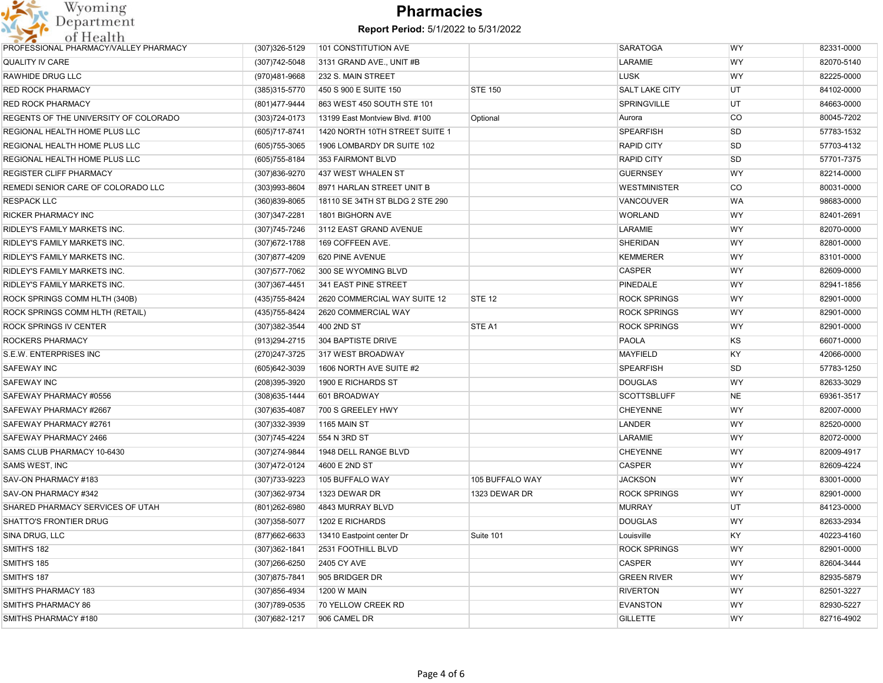

| PROFESSIONAL PHARMACY/VALLEY PHARMACY | (307) 326-5129    | 101 CONSTITUTION AVE            |                 | <b>SARATOGA</b>       | <b>WY</b> | 82331-0000 |
|---------------------------------------|-------------------|---------------------------------|-----------------|-----------------------|-----------|------------|
| QUALITY IV CARE                       | (307) 742-5048    | 3131 GRAND AVE., UNIT #B        |                 | LARAMIE               | <b>WY</b> | 82070-5140 |
| RAWHIDE DRUG LLC                      | (970)481-9668     | 232 S. MAIN STREET              |                 | <b>LUSK</b>           | <b>WY</b> | 82225-0000 |
| <b>RED ROCK PHARMACY</b>              | (385)315-5770     | 450 S 900 E SUITE 150           | <b>STE 150</b>  | <b>SALT LAKE CITY</b> | UT        | 84102-0000 |
| <b>RED ROCK PHARMACY</b>              | (801)477-9444     | 863 WEST 450 SOUTH STE 101      |                 | <b>SPRINGVILLE</b>    | UT        | 84663-0000 |
| REGENTS OF THE UNIVERSITY OF COLORADO | $(303)724 - 0173$ | 13199 East Montview Blvd. #100  | Optional        | Aurora                | <b>CO</b> | 80045-7202 |
| REGIONAL HEALTH HOME PLUS LLC         | (605)717-8741     | 1420 NORTH 10TH STREET SUITE 1  |                 | <b>SPEARFISH</b>      | SD        | 57783-1532 |
| REGIONAL HEALTH HOME PLUS LLC         | (605) 755-3065    | 1906 LOMBARDY DR SUITE 102      |                 | <b>RAPID CITY</b>     | SD        | 57703-4132 |
| REGIONAL HEALTH HOME PLUS LLC         | (605) 755-8184    | 353 FAIRMONT BLVD               |                 | <b>RAPID CITY</b>     | SD        | 57701-7375 |
| REGISTER CLIFF PHARMACY               | (307)836-9270     | 437 WEST WHALEN ST              |                 | <b>GUERNSEY</b>       | <b>WY</b> | 82214-0000 |
| REMEDI SENIOR CARE OF COLORADO LLC    | (303)993-8604     | 8971 HARLAN STREET UNIT B       |                 | <b>WESTMINISTER</b>   | CO        | 80031-0000 |
| <b>RESPACK LLC</b>                    | (360)839-8065     | 18110 SE 34TH ST BLDG 2 STE 290 |                 | <b>VANCOUVER</b>      | WA        | 98683-0000 |
| <b>RICKER PHARMACY INC</b>            | (307) 347-2281    | 1801 BIGHORN AVE                |                 | <b>WORLAND</b>        | WY        | 82401-2691 |
| <b>RIDLEY'S FAMILY MARKETS INC.</b>   | (307) 745-7246    | 3112 EAST GRAND AVENUE          |                 | LARAMIE               | <b>WY</b> | 82070-0000 |
| RIDLEY'S FAMILY MARKETS INC.          | (307) 672-1788    | 169 COFFEEN AVE.                |                 | <b>SHERIDAN</b>       | WY        | 82801-0000 |
| RIDLEY'S FAMILY MARKETS INC.          | (307)877-4209     | 620 PINE AVENUE                 |                 | <b>KEMMERER</b>       | <b>WY</b> | 83101-0000 |
| <b>RIDLEY'S FAMILY MARKETS INC.</b>   | (307) 577-7062    | 300 SE WYOMING BLVD             |                 | <b>CASPER</b>         | <b>WY</b> | 82609-0000 |
| RIDLEY'S FAMILY MARKETS INC.          | (307) 367-4451    | 341 EAST PINE STREET            |                 | <b>PINEDALE</b>       | WY        | 82941-1856 |
| ROCK SPRINGS COMM HLTH (340B)         | (435) 755-8424    | 2620 COMMERCIAL WAY SUITE 12    | <b>STE 12</b>   | <b>ROCK SPRINGS</b>   | WY        | 82901-0000 |
| ROCK SPRINGS COMM HLTH (RETAIL)       | (435) 755-8424    | 2620 COMMERCIAL WAY             |                 | <b>ROCK SPRINGS</b>   | WY        | 82901-0000 |
| <b>ROCK SPRINGS IV CENTER</b>         | (307) 382-3544    | 400 2ND ST                      | STE A1          | <b>ROCK SPRINGS</b>   | WY        | 82901-0000 |
| ROCKERS PHARMACY                      | (913) 294-2715    | 304 BAPTISTE DRIVE              |                 | <b>PAOLA</b>          | ΚS        | 66071-0000 |
| S.E.W. ENTERPRISES INC                | (270) 247-3725    | 317 WEST BROADWAY               |                 | <b>MAYFIELD</b>       | KY        | 42066-0000 |
| <b>SAFEWAY INC</b>                    | (605) 642-3039    | 1606 NORTH AVE SUITE #2         |                 | <b>SPEARFISH</b>      | <b>SD</b> | 57783-1250 |
| SAFEWAY INC                           | (208)395-3920     | 1900 E RICHARDS ST              |                 | <b>DOUGLAS</b>        | WY        | 82633-3029 |
| SAFEWAY PHARMACY #0556                | (308) 635-1444    | 601 BROADWAY                    |                 | <b>SCOTTSBLUFF</b>    | <b>NE</b> | 69361-3517 |
| SAFEWAY PHARMACY #2667                | $(307)635-4087$   | 700 S GREELEY HWY               |                 | <b>CHEYENNE</b>       | <b>WY</b> | 82007-0000 |
| SAFEWAY PHARMACY #2761                | (307) 332-3939    | 1165 MAIN ST                    |                 | <b>LANDER</b>         | <b>WY</b> | 82520-0000 |
| SAFEWAY PHARMACY 2466                 | (307) 745-4224    | 554 N 3RD ST                    |                 | LARAMIE               | <b>WY</b> | 82072-0000 |
| SAMS CLUB PHARMACY 10-6430            | (307)274-9844     | 1948 DELL RANGE BLVD            |                 | <b>CHEYENNE</b>       | <b>WY</b> | 82009-4917 |
| SAMS WEST, INC                        | (307)472-0124     | 4600 E 2ND ST                   |                 | CASPER                | WY        | 82609-4224 |
| SAV-ON PHARMACY #183                  | (307) 733-9223    | 105 BUFFALO WAY                 | 105 BUFFALO WAY | <b>JACKSON</b>        | WY        | 83001-0000 |
| SAV-ON PHARMACY #342                  | (307) 362-9734    | 1323 DEWAR DR                   | 1323 DEWAR DR   | <b>ROCK SPRINGS</b>   | WY        | 82901-0000 |
| SHARED PHARMACY SERVICES OF UTAH      | (801) 262-6980    | 4843 MURRAY BLVD                |                 | <b>MURRAY</b>         | UT        | 84123-0000 |
| <b>SHATTO'S FRONTIER DRUG</b>         | (307) 358-5077    | 1202 E RICHARDS                 |                 | <b>DOUGLAS</b>        | <b>WY</b> | 82633-2934 |
| SINA DRUG, LLC                        | (877) 662-6633    | 13410 Eastpoint center Dr       | Suite 101       | Louisville            | KY        | 40223-4160 |
| <b>SMITH'S 182</b>                    | (307) 362-1841    | 2531 FOOTHILL BLVD              |                 | <b>ROCK SPRINGS</b>   | <b>WY</b> | 82901-0000 |
| SMITH'S 185                           | (307) 266-6250    | 2405 CY AVE                     |                 | <b>CASPER</b>         | WY        | 82604-3444 |
| SMITH'S 187                           | (307) 875-7841    | 905 BRIDGER DR                  |                 | <b>GREEN RIVER</b>    | <b>WY</b> | 82935-5879 |
| SMITH'S PHARMACY 183                  | (307) 856-4934    | <b>1200 W MAIN</b>              |                 | <b>RIVERTON</b>       | WY        | 82501-3227 |
| <b>SMITH'S PHARMACY 86</b>            | (307) 789-0535    | 70 YELLOW CREEK RD              |                 | <b>EVANSTON</b>       | WY        | 82930-5227 |
| SMITHS PHARMACY #180                  | (307) 682-1217    | 906 CAMEL DR                    |                 | <b>GILLETTE</b>       | WY        | 82716-4902 |
|                                       |                   |                                 |                 |                       |           |            |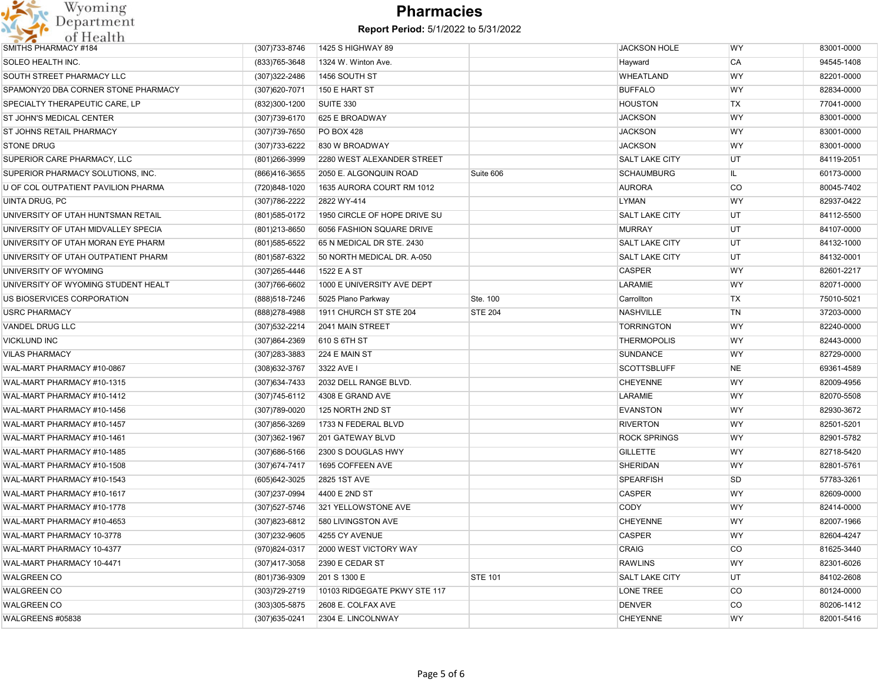

| SMITHS PHARMACY #184                | (307) 733-8746    | 1425 S HIGHWAY 89            |                | <b>JACKSON HOLE</b>   | WY        | 83001-0000 |
|-------------------------------------|-------------------|------------------------------|----------------|-----------------------|-----------|------------|
| <b>SOLEO HEALTH INC.</b>            | (833) 765-3648    | 1324 W. Winton Ave.          |                | Hayward               | CA        | 94545-1408 |
| SOUTH STREET PHARMACY LLC           | (307) 322-2486    | 1456 SOUTH ST                |                | <b>WHEATLAND</b>      | <b>WY</b> | 82201-0000 |
| SPAMONY20 DBA CORNER STONE PHARMACY | (307) 620-7071    | 150 E HART ST                |                | <b>BUFFALO</b>        | <b>WY</b> | 82834-0000 |
| SPECIALTY THERAPEUTIC CARE, LP      | (832)300-1200     | SUITE 330                    |                | <b>HOUSTON</b>        | TX        | 77041-0000 |
| <b>ST JOHN'S MEDICAL CENTER</b>     | (307) 739-6170    | 625 E BROADWAY               |                | <b>JACKSON</b>        | WY        | 83001-0000 |
| <b>ST JOHNS RETAIL PHARMACY</b>     | (307) 739-7650    | PO BOX 428                   |                | <b>JACKSON</b>        | WY        | 83001-0000 |
| <b>STONE DRUG</b>                   | (307) 733-6222    | 830 W BROADWAY               |                | <b>JACKSON</b>        | <b>WY</b> | 83001-0000 |
| SUPERIOR CARE PHARMACY, LLC         | (801) 266-3999    | 2280 WEST ALEXANDER STREET   |                | <b>SALT LAKE CITY</b> | UT        | 84119-2051 |
| SUPERIOR PHARMACY SOLUTIONS. INC.   | (866)416-3655     | 2050 E. ALGONQUIN ROAD       | Suite 606      | <b>SCHAUMBURG</b>     | IL.       | 60173-0000 |
| U OF COL OUTPATIENT PAVILION PHARMA | (720)848-1020     | 1635 AURORA COURT RM 1012    |                | <b>AURORA</b>         | <b>CO</b> | 80045-7402 |
| UINTA DRUG, PC                      | (307) 786-2222    | 2822 WY-414                  |                | LYMAN                 | <b>WY</b> | 82937-0422 |
| UNIVERSITY OF UTAH HUNTSMAN RETAIL  | (801) 585-0172    | 1950 CIRCLE OF HOPE DRIVE SU |                | <b>SALT LAKE CITY</b> | UT        | 84112-5500 |
| UNIVERSITY OF UTAH MIDVALLEY SPECIA | (801) 213-8650    | 6056 FASHION SQUARE DRIVE    |                | <b>MURRAY</b>         | UT.       | 84107-0000 |
| UNIVERSITY OF UTAH MORAN EYE PHARM  | (801) 585-6522    | 65 N MEDICAL DR STE. 2430    |                | <b>SALT LAKE CITY</b> | UT        | 84132-1000 |
| UNIVERSITY OF UTAH OUTPATIENT PHARM | (801) 587-6322    | 50 NORTH MEDICAL DR. A-050   |                | <b>SALT LAKE CITY</b> | UT        | 84132-0001 |
| UNIVERSITY OF WYOMING               | (307) 265-4446    | 1522 E A ST                  |                | <b>CASPER</b>         | WY        | 82601-2217 |
| UNIVERSITY OF WYOMING STUDENT HEALT | (307) 766-6602    | 1000 E UNIVERSITY AVE DEPT   |                | LARAMIE               | WY        | 82071-0000 |
| US BIOSERVICES CORPORATION          | (888) 518-7246    | 5025 Plano Parkway           | Ste. 100       | Carrollton            | TX        | 75010-5021 |
| <b>USRC PHARMACY</b>                | (888) 278-4988    | 1911 CHURCH ST STE 204       | <b>STE 204</b> | <b>NASHVILLE</b>      | TN        | 37203-0000 |
| VANDEL DRUG LLC                     | (307) 532-2214    | 2041 MAIN STREET             |                | <b>TORRINGTON</b>     | WY        | 82240-0000 |
| <b>VICKLUND INC</b>                 | (307)864-2369     | 610 S 6TH ST                 |                | <b>THERMOPOLIS</b>    | WY        | 82443-0000 |
| <b>VILAS PHARMACY</b>               | (307) 283-3883    | 224 E MAIN ST                |                | <b>SUNDANCE</b>       | <b>WY</b> | 82729-0000 |
| WAL-MART PHARMACY #10-0867          | (308) 632-3767    | 3322 AVE I                   |                | <b>SCOTTSBLUFF</b>    | <b>NE</b> | 69361-4589 |
| WAL-MART PHARMACY #10-1315          | (307) 634-7433    | 2032 DELL RANGE BLVD.        |                | <b>CHEYENNE</b>       | WY        | 82009-4956 |
| WAL-MART PHARMACY #10-1412          | (307) 745-6112    | 4308 E GRAND AVE             |                | LARAMIE               | WY        | 82070-5508 |
| WAL-MART PHARMACY #10-1456          | (307) 789-0020    | 125 NORTH 2ND ST             |                | <b>EVANSTON</b>       | <b>WY</b> | 82930-3672 |
| WAL-MART PHARMACY #10-1457          | (307) 856-3269    | 1733 N FEDERAL BLVD          |                | <b>RIVERTON</b>       | <b>WY</b> | 82501-5201 |
| WAL-MART PHARMACY #10-1461          | (307) 362-1967    | 201 GATEWAY BLVD             |                | <b>ROCK SPRINGS</b>   | WY        | 82901-5782 |
| WAL-MART PHARMACY #10-1485          | (307) 686-5166    | 2300 S DOUGLAS HWY           |                | <b>GILLETTE</b>       | WY        | 82718-5420 |
| WAL-MART PHARMACY #10-1508          | (307) 674-7417    | 1695 COFFEEN AVE             |                | <b>SHERIDAN</b>       | WY        | 82801-5761 |
| WAL-MART PHARMACY #10-1543          | (605) 642-3025    | 2825 1ST AVE                 |                | <b>SPEARFISH</b>      | <b>SD</b> | 57783-3261 |
| WAL-MART PHARMACY #10-1617          | (307)237-0994     | 4400 E 2ND ST                |                | <b>CASPER</b>         | <b>WY</b> | 82609-0000 |
| WAL-MART PHARMACY #10-1778          | (307) 527-5746    | 321 YELLOWSTONE AVE          |                | <b>CODY</b>           | WY        | 82414-0000 |
| WAL-MART PHARMACY #10-4653          | (307) 823-6812    | 580 LIVINGSTON AVE           |                | <b>CHEYENNE</b>       | WY        | 82007-1966 |
| WAL-MART PHARMACY 10-3778           | (307)232-9605     | 4255 CY AVENUE               |                | <b>CASPER</b>         | <b>WY</b> | 82604-4247 |
| WAL-MART PHARMACY 10-4377           | (970)824-0317     | 2000 WEST VICTORY WAY        |                | <b>CRAIG</b>          | CO        | 81625-3440 |
| WAL-MART PHARMACY 10-4471           | (307)417-3058     | 2390 E CEDAR ST              |                | <b>RAWLINS</b>        | WY        | 82301-6026 |
| <b>WALGREEN CO</b>                  | (801) 736-9309    | 201 S 1300 E                 | <b>STE 101</b> | <b>SALT LAKE CITY</b> | UT        | 84102-2608 |
| <b>WALGREEN CO</b>                  | (303) 729-2719    | 10103 RIDGEGATE PKWY STE 117 |                | LONE TREE             | CO        | 80124-0000 |
| <b>WALGREEN CO</b>                  | $(303)305 - 5875$ | 2608 E. COLFAX AVE           |                | <b>DENVER</b>         | CO        | 80206-1412 |
| WALGREENS #05838                    | (307) 635-0241    | 2304 E. LINCOLNWAY           |                | <b>CHEYENNE</b>       | WY        | 82001-5416 |
|                                     |                   |                              |                |                       |           |            |